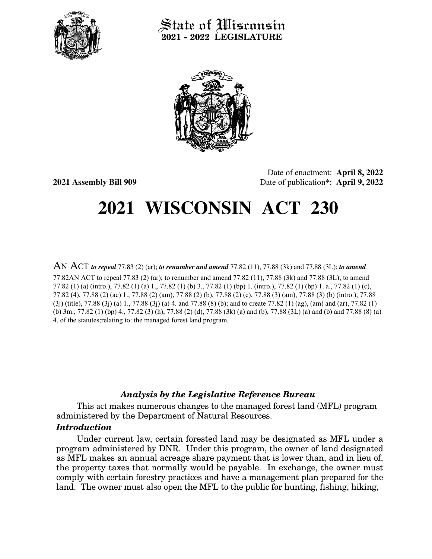

## State of Wisconsin **2021 - 2022 LEGISLATURE**



**2021 Assembly Bill 909**

Date of enactment: **April 8, 2022** Date of publication\*: **April 9, 2022**

## **2021 WISCONSIN ACT 230**

AN ACT *to repeal* 77.83 (2) (ar); *to renumber and amend* 77.82 (11), 77.88 (3k) and 77.88 (3L); *to amend* 

77.82AN ACT to repeal 77.83 (2) (ar); to renumber and amend 77.82 (11), 77.88 (3k) and 77.88 (3L); to amend 77.82 (1) (a) (intro.), 77.82 (1) (a) 1., 77.82 (1) (b) 3., 77.82 (1) (bp) 1. (intro.), 77.82 (1) (bp) 1. a., 77.82 (1) (c), 77.82 (4), 77.88 (2) (ac) 1., 77.88 (2) (am), 77.88 (2) (b), 77.88 (2) (c), 77.88 (3) (am), 77.88 (3) (b) (intro.), 77.88 (3j) (title), 77.88 (3j) (a) 1., 77.88 (3j) (a) 4. and 77.88 (8) (b); and to create 77.82 (1) (ag), (am) and (ar), 77.82 (1) (b) 3m., 77.82 (1) (bp) 4., 77.82 (3) (h), 77.88 (2) (d), 77.88 (3k) (a) and (b), 77.88 (3L) (a) and (b) and 77.88 (8) (a) 4. of the statutes;relating to: the managed forest land program.

## *Analysis by the Legislative Reference Bureau*

This act makes numerous changes to the managed forest land (MFL) program administered by the Department of Natural Resources.

## *Introduction*

Under current law, certain forested land may be designated as MFL under a program administered by DNR. Under this program, the owner of land designated as MFL makes an annual acreage share payment that is lower than, and in lieu of, the property taxes that normally would be payable. In exchange, the owner must comply with certain forestry practices and have a management plan prepared for the land. The owner must also open the MFL to the public for hunting, fishing, hiking,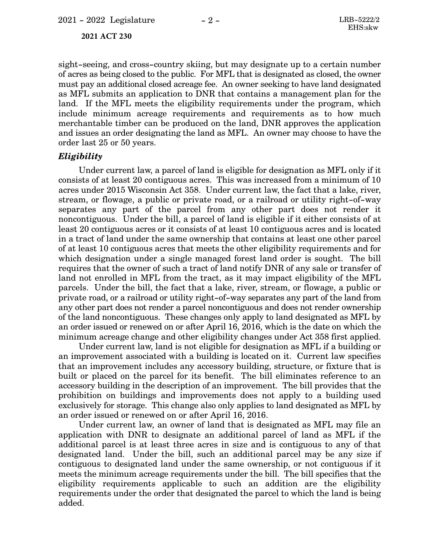**2021 ACT 230**

sight-seeing, and cross-country skiing, but may designate up to a certain number of acres as being closed to the public. For MFL that is designated as closed, the owner must pay an additional closed acreage fee. An owner seeking to have land designated as MFL submits an application to DNR that contains a management plan for the land. If the MFL meets the eligibility requirements under the program, which include minimum acreage requirements and requirements as to how much merchantable timber can be produced on the land, DNR approves the application and issues an order designating the land as MFL. An owner may choose to have the order last 25 or 50 years.

### *Eligibility*

Under current law, a parcel of land is eligible for designation as MFL only if it consists of at least 20 contiguous acres. This was increased from a minimum of 10 acres under 2015 Wisconsin Act 358. Under current law, the fact that a lake, river, stream, or flowage, a public or private road, or a railroad or utility right-of-way separates any part of the parcel from any other part does not render it noncontiguous. Under the bill, a parcel of land is eligible if it either consists of at least 20 contiguous acres or it consists of at least 10 contiguous acres and is located in a tract of land under the same ownership that contains at least one other parcel of at least 10 contiguous acres that meets the other eligibility requirements and for which designation under a single managed forest land order is sought. The bill requires that the owner of such a tract of land notify DNR of any sale or transfer of land not enrolled in MFL from the tract, as it may impact eligibility of the MFL parcels. Under the bill, the fact that a lake, river, stream, or flowage, a public or private road, or a railroad or utility right-of-way separates any part of the land from any other part does not render a parcel noncontiguous and does not render ownership of the land noncontiguous. These changes only apply to land designated as MFL by an order issued or renewed on or after April 16, 2016, which is the date on which the minimum acreage change and other eligibility changes under Act 358 first applied.

Under current law, land is not eligible for designation as MFL if a building or an improvement associated with a building is located on it. Current law specifies that an improvement includes any accessory building, structure, or fixture that is built or placed on the parcel for its benefit. The bill eliminates reference to an accessory building in the description of an improvement. The bill provides that the prohibition on buildings and improvements does not apply to a building used exclusively for storage. This change also only applies to land designated as MFL by an order issued or renewed on or after April 16, 2016.

Under current law, an owner of land that is designated as MFL may file an application with DNR to designate an additional parcel of land as MFL if the additional parcel is at least three acres in size and is contiguous to any of that designated land. Under the bill, such an additional parcel may be any size if contiguous to designated land under the same ownership, or not contiguous if it meets the minimum acreage requirements under the bill. The bill specifies that the eligibility requirements applicable to such an addition are the eligibility requirements under the order that designated the parcel to which the land is being added.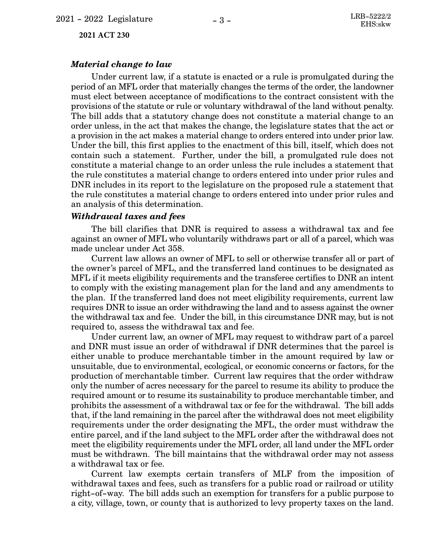**2021 ACT 230**

#### *Material change to law*

Under current law, if a statute is enacted or a rule is promulgated during the period of an MFL order that materially changes the terms of the order, the landowner must elect between acceptance of modifications to the contract consistent with the provisions of the statute or rule or voluntary withdrawal of the land without penalty. The bill adds that a statutory change does not constitute a material change to an order unless, in the act that makes the change, the legislature states that the act or a provision in the act makes a material change to orders entered into under prior law. Under the bill, this first applies to the enactment of this bill, itself, which does not contain such a statement. Further, under the bill, a promulgated rule does not constitute a material change to an order unless the rule includes a statement that the rule constitutes a material change to orders entered into under prior rules and DNR includes in its report to the legislature on the proposed rule a statement that the rule constitutes a material change to orders entered into under prior rules and an analysis of this determination.

#### *Withdrawal taxes and fees*

The bill clarifies that DNR is required to assess a withdrawal tax and fee against an owner of MFL who voluntarily withdraws part or all of a parcel, which was made unclear under Act 358.

Current law allows an owner of MFL to sell or otherwise transfer all or part of the owner's parcel of MFL, and the transferred land continues to be designated as MFL if it meets eligibility requirements and the transferee certifies to DNR an intent to comply with the existing management plan for the land and any amendments to the plan. If the transferred land does not meet eligibility requirements, current law requires DNR to issue an order withdrawing the land and to assess against the owner the withdrawal tax and fee. Under the bill, in this circumstance DNR may, but is not required to, assess the withdrawal tax and fee.

Under current law, an owner of MFL may request to withdraw part of a parcel and DNR must issue an order of withdrawal if DNR determines that the parcel is either unable to produce merchantable timber in the amount required by law or unsuitable, due to environmental, ecological, or economic concerns or factors, for the production of merchantable timber. Current law requires that the order withdraw only the number of acres necessary for the parcel to resume its ability to produce the required amount or to resume its sustainability to produce merchantable timber, and prohibits the assessment of a withdrawal tax or fee for the withdrawal. The bill adds that, if the land remaining in the parcel after the withdrawal does not meet eligibility requirements under the order designating the MFL, the order must withdraw the entire parcel, and if the land subject to the MFL order after the withdrawal does not meet the eligibility requirements under the MFL order, all land under the MFL order must be withdrawn. The bill maintains that the withdrawal order may not assess a withdrawal tax or fee.

Current law exempts certain transfers of MLF from the imposition of withdrawal taxes and fees, such as transfers for a public road or railroad or utility right-of-way. The bill adds such an exemption for transfers for a public purpose to a city, village, town, or county that is authorized to levy property taxes on the land.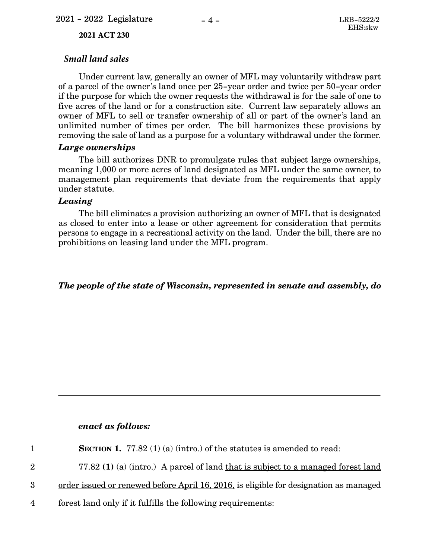#### **2021 ACT 230**

## *Small land sales*

Under current law, generally an owner of MFL may voluntarily withdraw part of a parcel of the owner's land once per 25-year order and twice per 50-year order if the purpose for which the owner requests the withdrawal is for the sale of one to five acres of the land or for a construction site. Current law separately allows an owner of MFL to sell or transfer ownership of all or part of the owner's land an unlimited number of times per order. The bill harmonizes these provisions by removing the sale of land as a purpose for a voluntary withdrawal under the former.

## *Large ownerships*

The bill authorizes DNR to promulgate rules that subject large ownerships, meaning 1,000 or more acres of land designated as MFL under the same owner, to management plan requirements that deviate from the requirements that apply under statute.

## *Leasing*

The bill eliminates a provision authorizing an owner of MFL that is designated as closed to enter into a lease or other agreement for consideration that permits persons to engage in a recreational activity on the land. Under the bill, there are no prohibitions on leasing land under the MFL program.

*The people of the state of Wisconsin, represented in senate and assembly, do*

## *enact as follows:*

| $\mathbf{1}$    | SECTION 1. 77.82 $(1)$ (a) (intro.) of the statutes is amended to read:               |
|-----------------|---------------------------------------------------------------------------------------|
| $2^{\circ}$     | 77.82 (1) (a) (intro.) A parcel of land that is subject to a managed forest land      |
| 3 <sup>1</sup>  | order issued or renewed before April 16, 2016, is eligible for designation as managed |
| $4\overline{ }$ | forest land only if it fulfills the following requirements:                           |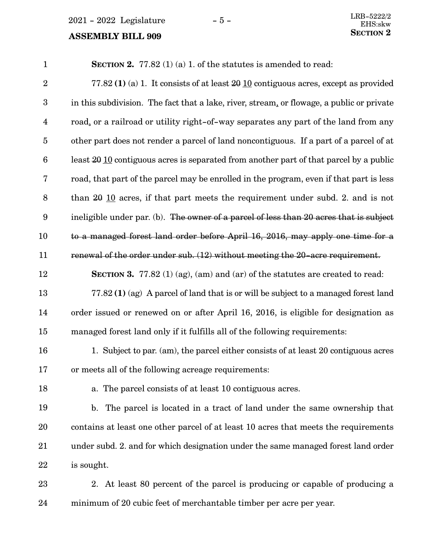## **SECTION** 2 **ASSEMBLY BILL 909**

| $\mathbf{1}$            | <b>SECTION 2.</b> 77.82 (1) (a) 1. of the statutes is amended to read:                               |
|-------------------------|------------------------------------------------------------------------------------------------------|
| $\sqrt{2}$              | 77.82 (1) (a) 1. It consists of at least $20 \underline{10}$ contiguous acres, except as provided    |
| $\boldsymbol{3}$        | in this subdivision. The fact that a lake, river, stream, or flowage, a public or private            |
| $\overline{\mathbf{4}}$ | road, or a railroad or utility right-of-way separates any part of the land from any                  |
| $\bf 5$                 | other part does not render a parcel of land noncontiguous. If a part of a parcel of at               |
| $6\phantom{.}6$         | least $20 \underline{10}$ contiguous acres is separated from another part of that parcel by a public |
| 7                       | road, that part of the parcel may be enrolled in the program, even if that part is less              |
| $\boldsymbol{8}$        | than $20 \underline{10}$ acres, if that part meets the requirement under subd. 2. and is not         |
| $\boldsymbol{9}$        | ineligible under par. (b). The owner of a parcel of less than 20 acres that is subject               |
| 10                      | to a managed forest land order before April 16, 2016, may apply one time for a                       |
| 11                      | renewal of the order under sub. (12) without meeting the 20-acre requirement.                        |
| 12                      | <b>SECTION 3.</b> 77.82 (1) (ag), (am) and (ar) of the statutes are created to read:                 |
| 13                      | 77.82 (1) (ag) A parcel of land that is or will be subject to a managed forest land                  |
| 14                      | order issued or renewed on or after April 16, 2016, is eligible for designation as                   |
| 15                      | managed forest land only if it fulfills all of the following requirements:                           |
| 16                      | 1. Subject to par. (am), the parcel either consists of at least 20 contiguous acres                  |
| 17                      | or meets all of the following acreage requirements:                                                  |
| 18                      | a. The parcel consists of at least 10 contiguous acres.                                              |
| 19                      | b. The parcel is located in a tract of land under the same ownership that                            |
| 20                      | contains at least one other parcel of at least 10 acres that meets the requirements                  |
| 21                      | under subd. 2. and for which designation under the same managed forest land order                    |
| 22                      | is sought.                                                                                           |
| ററ                      |                                                                                                      |

2. At least 80 percent of the parcel is producing or capable of producing a minimum of 20 cubic feet of merchantable timber per acre per year. 23 24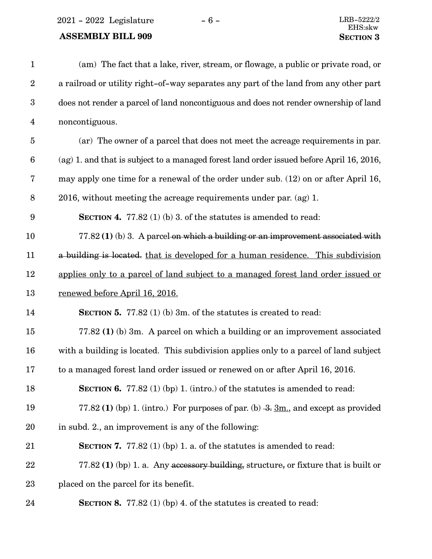$2021 - 2022$  Legislature  $-6 -$  LRB-5222/2

## **ASSEMBLY BILL 909 SECTION** 3

| $\mathbf{1}$            | (am) The fact that a lake, river, stream, or flowage, a public or private road, or       |
|-------------------------|------------------------------------------------------------------------------------------|
| $\boldsymbol{2}$        | a railroad or utility right-of-way separates any part of the land from any other part    |
| $\boldsymbol{3}$        | does not render a parcel of land noncontiguous and does not render ownership of land     |
| $\overline{\mathbf{4}}$ | noncontiguous.                                                                           |
| $\overline{5}$          | (ar) The owner of a parcel that does not meet the acreage requirements in par.           |
| $\boldsymbol{6}$        | (ag) 1. and that is subject to a managed forest land order issued before April 16, 2016, |
| 7                       | may apply one time for a renewal of the order under sub. (12) on or after April 16,      |
| $\, 8$                  | 2016, without meeting the acreage requirements under par. $(ag)$ 1.                      |
| $9\phantom{.0}$         | <b>SECTION 4.</b> 77.82 (1) (b) 3. of the statures is amended to read:                   |
| 10                      | $77.82(1)$ (b) 3. A parcel on which a building or an improvement associated with         |
| 11                      | a building is located, that is developed for a human residence. This subdivision         |
| 12                      | applies only to a parcel of land subject to a managed forest land order issued or        |
| 13                      | renewed before April 16, 2016.                                                           |
| 14                      | <b>SECTION 5.</b> 77.82 (1) (b) 3m. of the statutes is created to read:                  |
| 15                      | 77.82 (1) (b) 3m. A parcel on which a building or an improvement associated              |
| 16                      | with a building is located. This subdivision applies only to a parcel of land subject    |
| 17                      | to a managed forest land order issued or renewed on or after April 16, 2016.             |
| 18                      | <b>SECTION 6.</b> 77.82 (1) (bp) 1. (intro.) of the statures is amended to read:         |
| 19                      | 77.82 (1) (bp) 1. (intro.) For purposes of par. (b) $-3$ . 3m, and except as provided    |
| 20                      | in subd. 2., an improvement is any of the following:                                     |
| 21                      | <b>SECTION 7.</b> 77.82 (1) (bp) 1. a. of the statures is amended to read:               |
| 22                      | 77.82 (1) (bp) 1. a. Any accessory building, structure, or fixture that is built or      |
| 23                      | placed on the parcel for its benefit.                                                    |
| 24                      | <b>SECTION 8.</b> 77.82 (1) (bp) 4. of the statures is created to read:                  |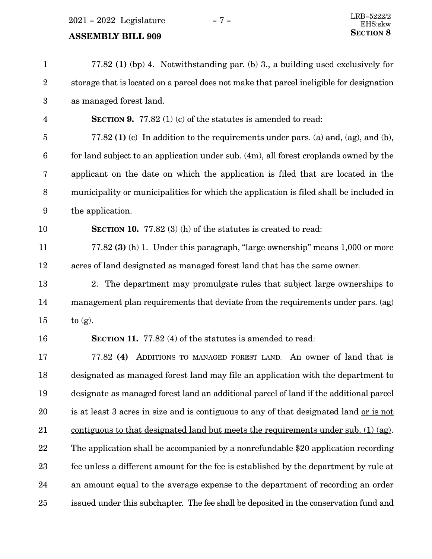2021 - 2022 Legislature - 7 -

| $\mathbf{1}$     | 77.82 (1) (bp) 4. Notwithstanding par. (b) 3., a building used exclusively for              |
|------------------|---------------------------------------------------------------------------------------------|
| $\boldsymbol{2}$ | storage that is located on a parcel does not make that parcel ineligible for designation    |
| $\boldsymbol{3}$ | as managed forest land.                                                                     |
| 4                | <b>SECTION 9.</b> 77.82 (1) (c) of the statutes is amended to read:                         |
| $\overline{5}$   | 77.82 (1) (c) In addition to the requirements under pars. (a) $\frac{and}{(ag)}$ , and (b), |
| $6\phantom{1}6$  | for land subject to an application under sub. (4m), all forest croplands owned by the       |
| 7                | applicant on the date on which the application is filed that are located in the             |
| 8                | municipality or municipalities for which the application is filed shall be included in      |
| $\boldsymbol{9}$ | the application.                                                                            |
| 10               | <b>SECTION 10.</b> 77.82 $(3)$ (h) of the statutes is created to read:                      |
| 11               | 77.82 (3) (h) 1. Under this paragraph, "large ownership" means 1,000 or more                |
| 12               | acres of land designated as managed forest land that has the same owner.                    |
| 13               | 2. The department may promulgate rules that subject large ownerships to                     |
| 14               | management plan requirements that deviate from the requirements under pars. (ag)            |
| 15               | to $(g)$ .                                                                                  |
| 16               | <b>SECTION 11.</b> 77.82 (4) of the statutes is amended to read:                            |
| 17               | ADDITIONS TO MANAGED FOREST LAND. An owner of land that is<br>77.82(4)                      |
| 18               | designated as managed forest land may file an application with the department to            |
| 19               | designate as managed forest land an additional parcel of land if the additional parcel      |
| 20               | is at least 3 acres in size and is contiguous to any of that designated land or is not      |
| $21\,$           | contiguous to that designated land but meets the requirements under sub. (1) (ag).          |
| 22               | The application shall be accompanied by a nonrefundable \$20 application recording          |
| 23               | fee unless a different amount for the fee is established by the department by rule at       |
| 24               | an amount equal to the average expense to the department of recording an order              |
| 25               | issued under this subchapter. The fee shall be deposited in the conservation fund and       |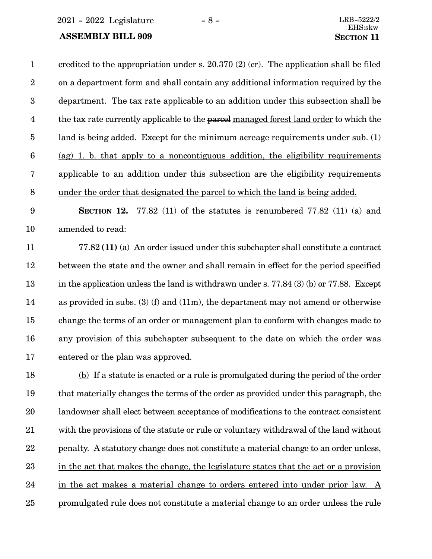2021 - 2022 Legislature - 8 - LRB-5222/2

### **ASSEMBLY BILL 909 SECTION** 11

credited to the appropriation under s.  $20.370(2)(cr)$ . The application shall be filed on a department form and shall contain any additional information required by the department. The tax rate applicable to an addition under this subsection shall be the tax rate currently applicable to the parcel managed forest land order to which the land is being added. Except for the minimum acreage requirements under sub. (1) (ag) 1. b. that apply to a noncontiguous addition, the eligibility requirements applicable to an addition under this subsection are the eligibility requirements under the order that designated the parcel to which the land is being added. 1 2 3 4 5 6 7 8

**SECTION** 12. 77.82 (11) of the statutes is renumbered 77.82 (11) (a) and amended to read: 9 10

77.82 **(11)** (a) An order issued under this subchapter shall constitute a contract between the state and the owner and shall remain in effect for the period specified in the application unless the land is withdrawn under s.  $77.84$  (3) (b) or  $77.88$ . Except as provided in subs. (3) (f) and (11m), the department may not amend or otherwise change the terms of an order or management plan to conform with changes made to any provision of this subchapter subsequent to the date on which the order was entered or the plan was approved. 11 12 13 14 15 16 17

(b) If a statute is enacted or a rule is promulgated during the period of the order that materially changes the terms of the order as provided under this paragraph, the landowner shall elect between acceptance of modifications to the contract consistent with the provisions of the statute or rule or voluntary withdrawal of the land without penalty. A statutory change does not constitute a material change to an order unless, in the act that makes the change, the legislature states that the act or a provision in the act makes a material change to orders entered into under prior law. A promulgated rule does not constitute a material change to an order unless the rule 18 19 20 21 22 23 24 25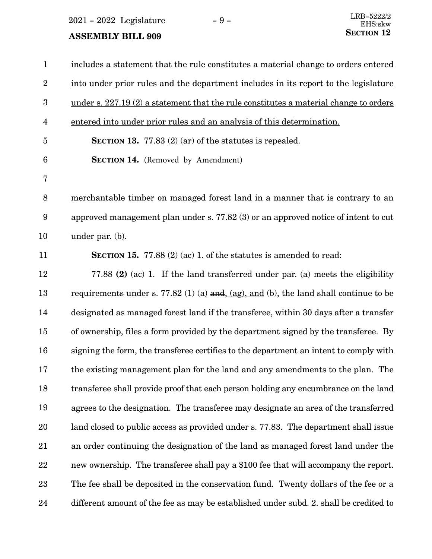$2021 - 2022$  Legislature  $-9$  -

| $\mathbf{1}$     | includes a statement that the rule constitutes a material change to orders entered                          |
|------------------|-------------------------------------------------------------------------------------------------------------|
| $\overline{2}$   | into under prior rules and the department includes in its report to the legislature                         |
| $\boldsymbol{3}$ | under s. 227.19 (2) a statement that the rule constitutes a material change to orders                       |
| 4                | entered into under prior rules and an analysis of this determination.                                       |
| $\overline{5}$   | <b>SECTION 13.</b> 77.83 $(2)$ (ar) of the statutes is repealed.                                            |
| $6\phantom{.}6$  | <b>SECTION 14.</b> (Removed by Amendment)                                                                   |
| $\overline{7}$   |                                                                                                             |
| 8                | merchantable timber on managed forest land in a manner that is contrary to an                               |
| 9                | approved management plan under s. 77.82 (3) or an approved notice of intent to cut                          |
| 10               | under par. $(b)$ .                                                                                          |
| 11               | <b>SECTION 15.</b> 77.88 $(2)$ (ac) 1. of the statutes is amended to read:                                  |
| 12               | 77.88 (2) (ac) 1. If the land transferred under par. (a) meets the eligibility                              |
| 13               | requirements under s. 77.82 (1) (a) and $\left(\frac{ag}{ag}\right)$ and (b), the land shall continue to be |
| 14               | designated as managed forest land if the transferee, within 30 days after a transfer                        |
| 15               | of ownership, files a form provided by the department signed by the transferee. By                          |
| 16               | signing the form, the transferee certifies to the department an intent to comply with                       |
| 17               | the existing management plan for the land and any amendments to the plan. The                               |
| 18               | transferee shall provide proof that each person holding any encumbrance on the land                         |
| 19               | agrees to the designation. The transferee may designate an area of the transferred                          |
| 20               | land closed to public access as provided under s. 77.83. The department shall issue                         |
| 21               | an order continuing the designation of the land as managed forest land under the                            |
| 22               | new ownership. The transferee shall pay a \$100 fee that will accompany the report.                         |
| 23               | The fee shall be deposited in the conservation fund. Twenty dollars of the fee or a                         |
| 24               | different amount of the fee as may be established under subd. 2. shall be credited to                       |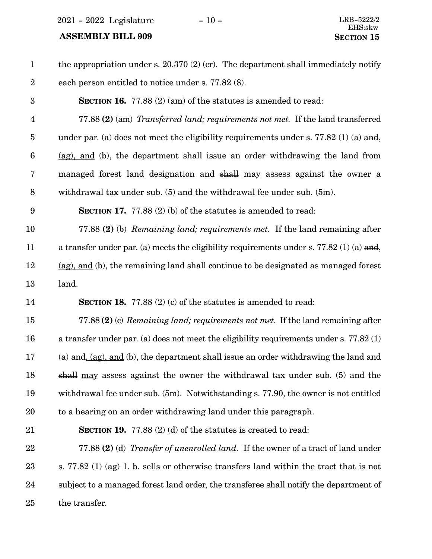$2021 - 2022$  Legislature  $-10 -$ 

| $\mathbf{1}$     | the appropriation under s. $20.370(2)(cr)$ . The department shall immediately notify            |
|------------------|-------------------------------------------------------------------------------------------------|
| $\boldsymbol{2}$ | each person entitled to notice under s. 77.82 (8).                                              |
| 3                | <b>SECTION 16.</b> 77.88 (2) (am) of the statutes is amended to read:                           |
| $\overline{4}$   | 77.88 (2) (am) <i>Transferred land; requirements not met.</i> If the land transferred           |
| $\overline{5}$   | under par. (a) does not meet the eligibility requirements under s. 77.82 (1) (a) and,           |
| $\boldsymbol{6}$ | (ag), and (b), the department shall issue an order withdrawing the land from                    |
| 7                | managed forest land designation and shall may assess against the owner a                        |
| $\, 8$           | withdrawal tax under sub. (5) and the withdrawal fee under sub. (5m).                           |
| $\boldsymbol{9}$ | <b>SECTION 17.</b> 77.88 (2) (b) of the statutes is amended to read:                            |
| 10               | 77.88 (2) (b) Remaining land; requirements met. If the land remaining after                     |
| 11               | a transfer under par. (a) meets the eligibility requirements under s. 77.82 (1) (a) and         |
| 12               | (ag), and (b), the remaining land shall continue to be designated as managed forest             |
| 13               | land.                                                                                           |
| 14               | <b>SECTION 18.</b> 77.88 $(2)$ (c) of the statutes is amended to read:                          |
| 15               | 77.88 (2) (c) Remaining land; requirements not met. If the land remaining after                 |
| 16               | a transfer under par. (a) does not meet the eligibility requirements under s. $77.82(1)$        |
| 17               | (a) $\frac{and}{,}$ (ag), and (b), the department shall issue an order withdrawing the land and |
| 18               | shall <u>may</u> assess against the owner the withdrawal tax under sub. (5) and the             |
| 19               | withdrawal fee under sub. (5m). Notwithstanding s. 77.90, the owner is not entitled             |
| 20               | to a hearing on an order withdrawing land under this paragraph.                                 |
| 21               | <b>SECTION 19.</b> 77.88 $(2)$ (d) of the statutes is created to read:                          |
| 22               | 77.88 (2) (d) Transfer of unenrolled land. If the owner of a tract of land under                |
| 23               | s. 77.82 (1) (ag) 1. b. sells or otherwise transfers land within the tract that is not          |
| 24               | subject to a managed forest land order, the transferee shall notify the department of           |
| 25               | the transfer.                                                                                   |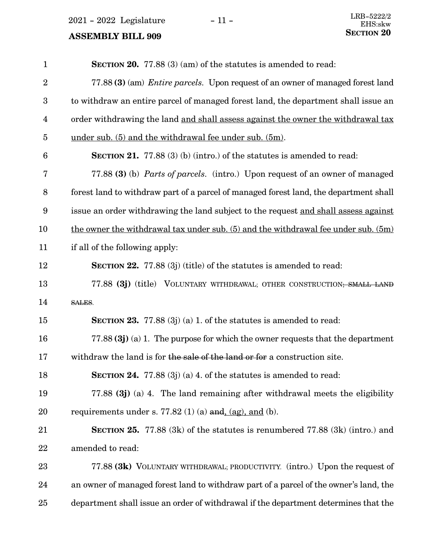$2021 - 2022$  Legislature  $-11 -$ <br>LRB-5222/2<br>EHS-skw

| $\mathbf{1}$            | SECTION 20. 77.88 (3) (am) of the statutes is amended to read:                          |
|-------------------------|-----------------------------------------------------------------------------------------|
| $\overline{2}$          | 77.88 (3) (am) <i>Entire parcels</i> . Upon request of an owner of managed forest land  |
| 3                       | to withdraw an entire parcel of managed forest land, the department shall issue an      |
| $\overline{\mathbf{4}}$ | order withdrawing the land and shall assess against the owner the withdrawal tax        |
| $\overline{5}$          | under sub. $(5)$ and the withdrawal fee under sub. $(5m)$ .                             |
| $6\phantom{1}6$         | <b>SECTION 21.</b> 77.88 (3) (b) (intro.) of the statutes is amended to read:           |
| 7                       | 77.88 (3) (b) <i>Parts of parcels.</i> (intro.) Upon request of an owner of managed     |
| 8                       | forest land to withdraw part of a parcel of managed forest land, the department shall   |
| $\boldsymbol{9}$        | issue an order withdrawing the land subject to the request and shall assess against     |
| 10                      | the owner the withdrawal tax under sub. $(5)$ and the withdrawal fee under sub. $(5m)$  |
| 11                      | if all of the following apply:                                                          |
| 12                      | <b>SECTION 22.</b> 77.88 (3j) (title) of the statutes is amended to read:               |
| 13                      | 77.88 (3j) (title) VOLUNTARY WITHDRAWAL; OTHER CONSTRUCTION; SMALL LAND                 |
| 14                      | SALES.                                                                                  |
| 15                      | <b>SECTION 23.</b> 77.88 $(3j)$ (a) 1. of the statutes is amended to read:              |
| 16                      | 77.88 $(3j)$ (a) 1. The purpose for which the owner requests that the department        |
| 17                      | withdraw the land is for the sale of the land or for a construction site.               |
| 18                      | <b>SECTION 24.</b> 77.88 (3j) (a) 4. of the statutes is amended to read:                |
| 19                      | 77.88 $(3j)$ (a) 4. The land remaining after withdrawal meets the eligibility           |
| 20                      | requirements under s. 77.82 (1) (a) and $\underline{ag}$ , and (b).                     |
| 21                      | <b>SECTION 25.</b> 77.88 $(3k)$ of the statutes is renumbered 77.88 $(3k)$ (intro.) and |
| 22                      | amended to read:                                                                        |
| 23                      | 77.88 (3k) VOLUNTARY WITHDRAWAL; PRODUCTIVITY. (intro.) Upon the request of             |
| 24                      | an owner of managed forest land to withdraw part of a parcel of the owner's land, the   |
| 25                      | department shall issue an order of withdrawal if the department determines that the     |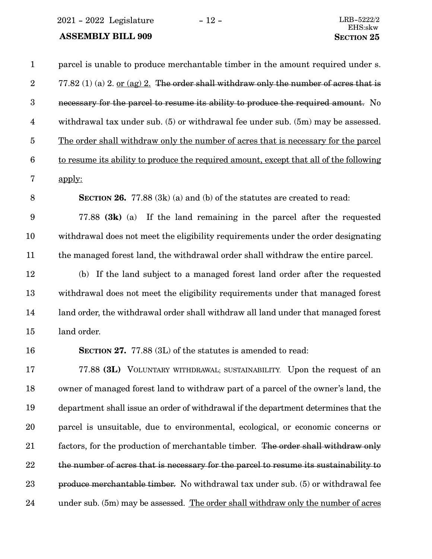$2021 - 2022$  Legislature  $-12 -$ <br>LRB-5222/2

| $\mathbf{1}$            | parcel is unable to produce merchantable timber in the amount required under s.        |
|-------------------------|----------------------------------------------------------------------------------------|
| $\boldsymbol{2}$        | 77.82 (1) (a) 2. or (ag) 2. The order shall withdraw only the number of acres that is  |
| $\boldsymbol{3}$        | necessary for the parcel to resume its ability to produce the required amount. No      |
| $\overline{\mathbf{4}}$ | withdrawal tax under sub. (5) or withdrawal fee under sub. (5m) may be assessed.       |
| $\overline{5}$          | The order shall withdraw only the number of acres that is necessary for the parcel     |
| $6\phantom{.}6$         | to resume its ability to produce the required amount, except that all of the following |
| 7                       | apply:                                                                                 |
| 8                       | <b>SECTION 26.</b> 77.88 $(3k)$ (a) and (b) of the statutes are created to read:       |
| $\boldsymbol{9}$        | 77.88 $(3k)$ (a) If the land remaining in the parcel after the requested               |
| 10                      | withdrawal does not meet the eligibility requirements under the order designating      |
| 11                      | the managed forest land, the withdrawal order shall withdraw the entire parcel.        |
| 12                      | (b) If the land subject to a managed forest land order after the requested             |
| 13                      | withdrawal does not meet the eligibility requirements under that managed forest        |
| 14                      | land order, the withdrawal order shall withdraw all land under that managed forest     |
| 15                      | land order.                                                                            |
| 16                      | <b>SECTION 27.</b> 77.88 (3L) of the statutes is amended to read:                      |
| 17                      | 77.88 (3L) VOLUNTARY WITHDRAWAL; SUSTAINABILITY. Upon the request of an                |
| 18                      | owner of managed forest land to withdraw part of a parcel of the owner's land, the     |
| 19                      | department shall issue an order of withdrawal if the department determines that the    |
| 20                      | parcel is unsuitable, due to environmental, ecological, or economic concerns or        |
| 21                      | factors, for the production of merchantable timber. The order shall withdraw only      |
| 22                      | the number of acres that is necessary for the parcel to resume its sustainability to   |
| 23                      | produce merchantable timber. No withdrawal tax under sub. (5) or withdrawal fee        |
| 24                      | under sub. (5m) may be assessed. The order shall withdraw only the number of acres     |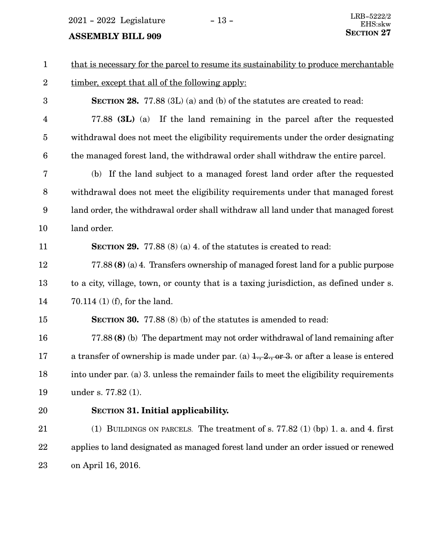$2021$  -  $2022$  Legislature -  $13$  -

| $\mathbf{1}$            | that is necessary for the parcel to resume its sustainability to produce merchantable    |
|-------------------------|------------------------------------------------------------------------------------------|
| $\boldsymbol{2}$        | timber, except that all of the following apply:                                          |
| 3                       | <b>SECTION 28.</b> 77.88 (3L) (a) and (b) of the statutes are created to read:           |
| $\overline{\mathbf{4}}$ | 77.88 (3L) (a) If the land remaining in the parcel after the requested                   |
| $\bf 5$                 | withdrawal does not meet the eligibility requirements under the order designating        |
| $\boldsymbol{6}$        | the managed forest land, the withdrawal order shall withdraw the entire parcel.          |
| 7                       | (b) If the land subject to a managed forest land order after the requested               |
| $\, 8$                  | withdrawal does not meet the eligibility requirements under that managed forest          |
| 9                       | land order, the withdrawal order shall withdraw all land under that managed forest       |
| 10                      | land order.                                                                              |
| 11                      | <b>SECTION 29.</b> 77.88 (8) (a) 4. of the statutes is created to read:                  |
| 12                      | 77.88 (8) (a) 4. Transfers ownership of managed forest land for a public purpose         |
| 13                      | to a city, village, town, or county that is a taxing jurisdiction, as defined under s.   |
| 14                      | 70.114 $(1)$ (f), for the land.                                                          |
| 15                      | <b>SECTION 30.</b> 77.88 (8) (b) of the statutes is amended to read:                     |
| 16                      | 77.88 (8) (b) The department may not order withdrawal of land remaining after            |
| 17                      | a transfer of ownership is made under par. (a) $1, 2, 0r$ 3. or after a lease is entered |
| 18                      | into under par. (a) 3. unless the remainder fails to meet the eligibility requirements   |
| 19                      | under s. 77.82 (1).                                                                      |
| <b>20</b>               | <b>SECTION 31. Initial applicability.</b>                                                |
| 21                      | (1) BUILDINGS ON PARCELS. The treatment of s. $77.82$ (1) (bp) 1. a. and 4. first        |
| 22                      | applies to land designated as managed forest land under an order issued or renewed       |
| 23                      | on April 16, 2016.                                                                       |